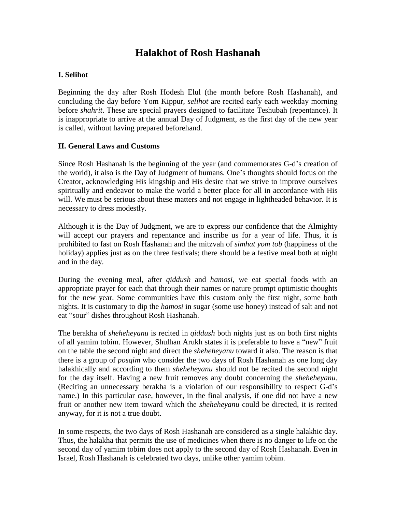# **Halakhot of Rosh Hashanah**

## **I. Selihot**

Beginning the day after Rosh Hodesh Elul (the month before Rosh Hashanah), and concluding the day before Yom Kippur, *selihot* are recited early each weekday morning before *shahrit*. These are special prayers designed to facilitate Teshubah (repentance). It is inappropriate to arrive at the annual Day of Judgment, as the first day of the new year is called, without having prepared beforehand.

## **II. General Laws and Customs**

II. General Laws and Customs<br>Since Rosh Hashanah is the beginning of the year (and commemorates G-d's creation of Since Rosh Hashanah is the beginning of the year (and commemorates G-d's creation of<br>the world), it also is the Day of Judgment of humans. One's thoughts should focus on the Creator, acknowledging His kingship and His desire that we strive to improve ourselves spiritually and endeavor to make the world a better place for all in accordance with His will. We must be serious about these matters and not engage in lightheaded behavior. It is necessary to dress modestly.

Although it is the Day of Judgment, we are to express our confidence that the Almighty will accept our prayers and repentance and inscribe us for a year of life. Thus, it is prohibited to fast on Rosh Hashanah and the mitzvah of *simhat yom tob* (happiness of the holiday) applies just as on the three festivals; there should be a festive meal both at night and in the day.

During the evening meal, after *qiddush* and *hamosi*, we eat special foods with an appropriate prayer for each that through their names or nature prompt optimistic thoughts for the new year. Some communities have this custom only the first night, some both nights. It is customary to dip the *hamosi* in sugar (some use honey) instead of salt and not for the new year. Some communities have this nights. It is customary to dip the *hamosi* in sugar (eat "sour" dishes throughout Rosh Hashanah.

The berakha of *sheheheyanu* is recited in *qiddush* both nights just as on both first nights of all yamim tobim. However, Shulhan Arukh states it is preferable to have a "new" fruit on the table the second night and direct the *sheheheyanu* toward it also. The reason is that there is a group of *posqim* who consider the two days of Rosh Hashanah as one long day halakhically and according to them *sheheheyanu* should not be recited the second night for the day itself. Having a new fruit removes any doubt concerning the *sheheheyanu*. (Reciting an unnecessary berakha is a violation for the day itself. Having a new fruit removes any doubt concerning the *sheheheyanu*. name.) In this particular case, however, in the final analysis, if one did not have a new fruit or another new item toward which the *sheheheyanu* could be directed, it is recited anyway, for it is not a true doubt.

In some respects, the two days of Rosh Hashanah are considered as a single halakhic day. Thus, the halakha that permits the use of medicines when there is no danger to life on the second day of yamim tobim does not apply to the second day of Rosh Hashanah. Even in Israel, Rosh Hashanah is celebrated two days, unlike other yamim tobim.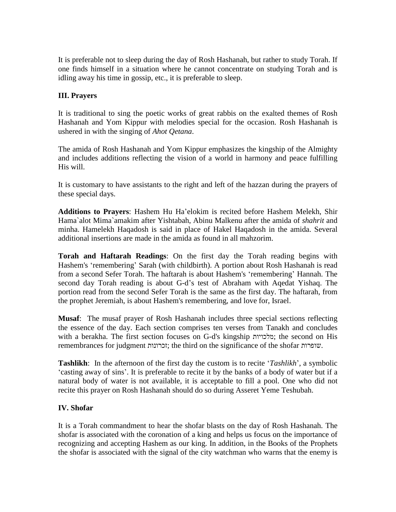It is preferable not to sleep during the day of Rosh Hashanah, but rather to study Torah. If one finds himself in a situation where he cannot concentrate on studying Torah and is idling away his time in gossip, etc., it is preferable to sleep.

# **III. Prayers**

It is traditional to sing the poetic works of great rabbis on the exalted themes of Rosh Hashanah and Yom Kippur with melodies special for the occasion. Rosh Hashanah is ushered in with the singing of *Ahot Qetana*.

The amida of Rosh Hashanah and Yom Kippur emphasizes the kingship of the Almighty and includes additions reflecting the vision of a world in harmony and peace fulfilling His will.

It is customary to have assistants to the right and left of the hazzan during the prayers of these special days.

**Additions to Prayers**: Hashem Hu Haíelokim is recited before Hashem Melekh, Shir Hama`alot Mima`amakim after Yishtabah, Abinu Malkenu after the amida of *shahrit* and minha. Hamelekh Haqadosh is said in place of Hakel Haqadosh in the amida. Several additional insertions are made in the amida as found in all mahzorim.

**Torah and Haftarah Readings**: On the first day the Torah reading begins with Hashem's 'remembering' Sarah (with childbirth). A portion about Rosh Hashanah is read **Torah and Haftarah Readings:** On the first day the Torah reading begins with Hashem's 'remembering' Sarah (with childbirth). A portion about Rosh Hashanah is read from a second Sefer Torah. The haftarah is about Hashem's Hashem's 'remembering' Sarah (with childbirth). A portion about Rosh Hashanah is read<br>from a second Sefer Torah. The haftarah is about Hashem's 'remembering' Hannah. The<br>second day Torah reading is about G-d's test of Abra portion read from the second Sefer Torah is the same as the first day. The haftarah, from the prophet Jeremiah, is about Hashem's remembering, and love for, Israel.

**Musaf**: The musaf prayer of Rosh Hashanah includes three special sections reflecting the essence of the day. Each section comprises ten verses from Tanakh and concludes **Musaf**: The musaf prayer of Rosh Hashanah includes three special sections reflecting the essence of the day. Each section comprises ten verses from Tanakh and concludes with a berakha. The first section focuses on G-d's the essence of the day. Each section comprises ten verses from Tanakh and concludes<br>with a berakha. The first section focuses on G-d's kingship ללכויות; the second on His<br>membrances for judgment קוברונות; the third on the **Tashlikh**: In the afternoon of the first day the custom is torecite <sup>ë</sup>*Tashlikh*í, <sup>a</sup> symbolic

'casting away of sins'. It is preferable to recite it by the banks of a body of water but if a natural body ofwater is not available, it is acceptable to fill a pool. One who did not recite this prayer on Rosh Hashanah should do so during Asseret Yeme Teshubah.

## **IV. Shofar**

It is a Torah commandment to hear the shofar blasts on the day of Rosh Hashanah. The shofar is associated with the coronation of a king and helps us focus on the importance of recognizing and accepting Hashem as our king. In addition, in the Books of the Prophets the shofar is associated with the signal of the city watchman who warns that the enemy is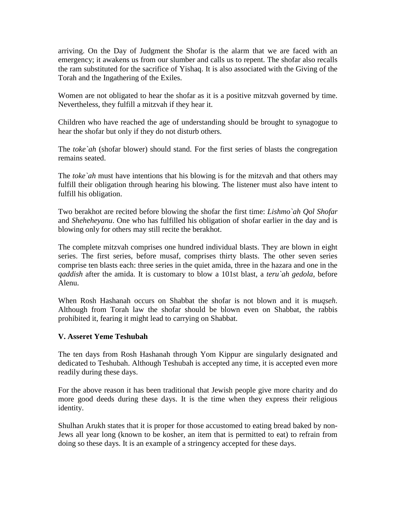arriving. On the Day of Judgment the Shofar is the alarm that we are faced with an emergency; it awakens us from our slumber and calls us to repent. The shofar also recalls the ram substituted for the sacrifice of Yishaq. It is also associated with the Giving of the Torah and the Ingathering of the Exiles.

Women are not obligated to hear the shofar as it is a positive mitzvah governed by time. Nevertheless, they fulfill a mitzvah if they hear it.

Children who have reached the age of understanding should be brought to synagogue to hear the shofar but only if they do not disturb others.

The *toke`ah* (shofar blower) should stand. For the first series of blasts the congregation remains seated.

The *toke`ah* must have intentions that his blowing is for the mitzvah and that others may fulfill their obligation through hearing his blowing. The listener must also have intent to fulfill his obligation.

Two berakhot are recited before blowing the shofar the first time: *Lishmo`ah Qol Shofar* and *Sheheheyanu*. One who has fulfilled his obligation of shofar earlier in the day and is blowing only for others may still recite the berakhot.

The complete mitzvah comprises one hundred individual blasts. They are blown in eight series. The first series, before musaf, comprises thirty blasts. The other seven series comprise ten blasts each: three series in the quiet amida, three in the hazara and one in the *qaddish* after the amida. It is customary to blow a 101st blast, a *teru`ah gedola*, before Alenu.

When Rosh Hashanah occurs on Shabbat the shofar is not blown and it is *muqseh*. Although from Torah law the shofar should be blown even on Shabbat, the rabbis prohibited it, fearing it might lead to carrying on Shabbat.

## **V. Asseret Yeme Teshubah**

The ten days from Rosh Hashanah through Yom Kippurare singularly designated and dedicated to Teshubah. Although Teshubah is accepted any time, it is accepted even more readily during these days.

For the above reason it has been traditional that Jewish people give more charity and do more good deeds during these days. It is the time when they express their religious identity.

Shulhan Arukh states that it is proper for those accustomed to eating bread baked by non- Jews all year long (known to be kosher, an item that is permitted to eat) to refrain from doing so these days. It is an example of a stringency accepted for these days.